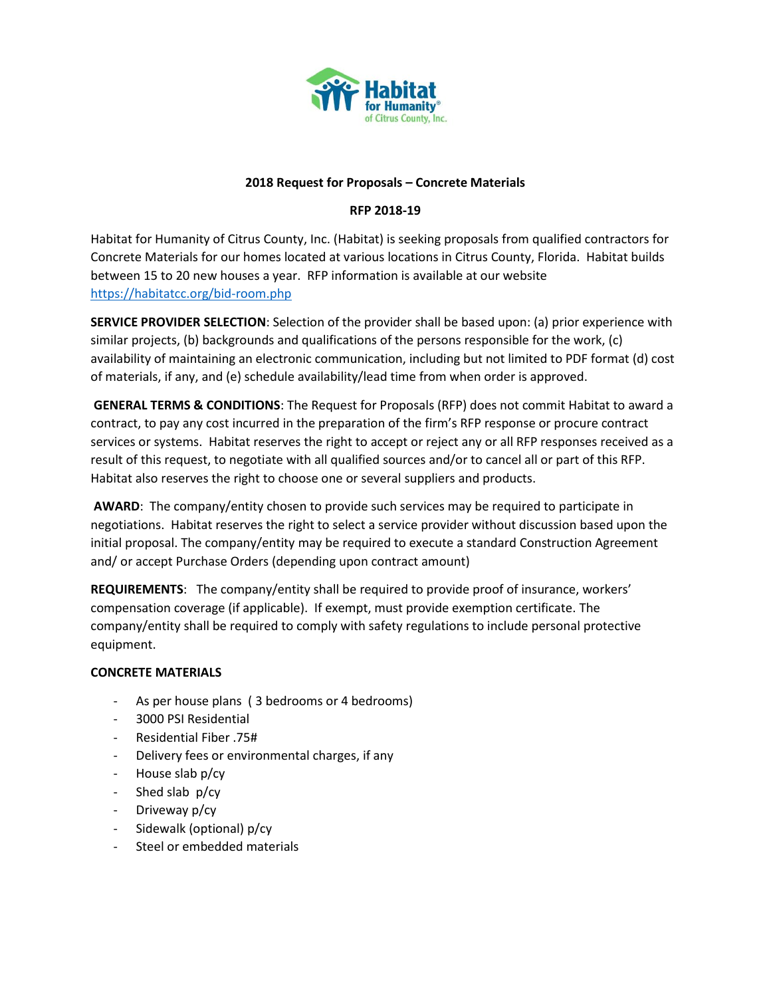

### **2018 Request for Proposals – Concrete Materials**

# **RFP 2018-19**

Habitat for Humanity of Citrus County, Inc. (Habitat) is seeking proposals from qualified contractors for Concrete Materials for our homes located at various locations in Citrus County, Florida. Habitat builds between 15 to 20 new houses a year. RFP information is available at our website <https://habitatcc.org/bid-room.php>

**SERVICE PROVIDER SELECTION**: Selection of the provider shall be based upon: (a) prior experience with similar projects, (b) backgrounds and qualifications of the persons responsible for the work, (c) availability of maintaining an electronic communication, including but not limited to PDF format (d) cost of materials, if any, and (e) schedule availability/lead time from when order is approved.

**GENERAL TERMS & CONDITIONS**: The Request for Proposals (RFP) does not commit Habitat to award a contract, to pay any cost incurred in the preparation of the firm's RFP response or procure contract services or systems. Habitat reserves the right to accept or reject any or all RFP responses received as a result of this request, to negotiate with all qualified sources and/or to cancel all or part of this RFP. Habitat also reserves the right to choose one or several suppliers and products.

**AWARD**: The company/entity chosen to provide such services may be required to participate in negotiations. Habitat reserves the right to select a service provider without discussion based upon the initial proposal. The company/entity may be required to execute a standard Construction Agreement and/ or accept Purchase Orders (depending upon contract amount)

**REQUIREMENTS**: The company/entity shall be required to provide proof of insurance, workers' compensation coverage (if applicable). If exempt, must provide exemption certificate. The company/entity shall be required to comply with safety regulations to include personal protective equipment.

#### **CONCRETE MATERIALS**

- As per house plans (3 bedrooms or 4 bedrooms)
- 3000 PSI Residential
- Residential Fiber .75#
- Delivery fees or environmental charges, if any
- House slab p/cy
- Shed slab p/cy
- Driveway p/cy
- Sidewalk (optional) p/cy
- Steel or embedded materials